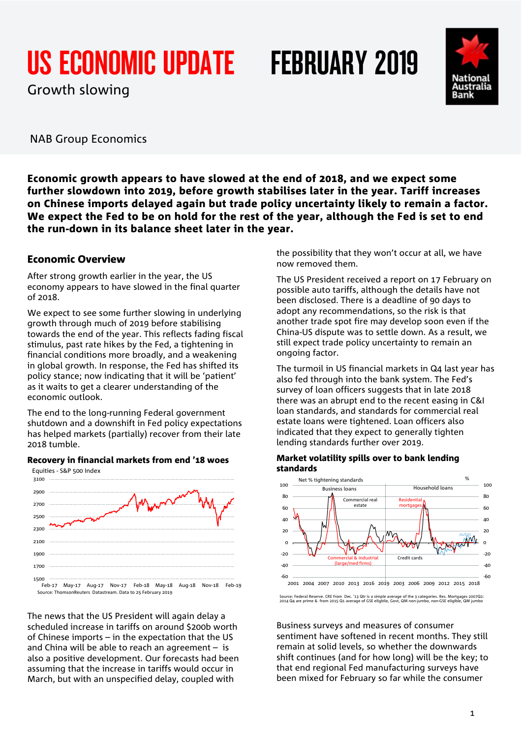# US ECONOMIC UPDATE FEBRUARY 2019

Growth slowing



NAB Group Economics

Economic growth appears to have slowed at the end of 2018, and we expect some further slowdown into 2019, before growth stabilises later in the year. Tariff increases on Chinese imports delayed again but trade policy uncertainty likely to remain a factor. We expect the Fed to be on hold for the rest of the year, although the Fed is set to end the run-down in its balance sheet later in the year.

### Economic Overview

After strong growth earlier in the year, the US economy appears to have slowed in the final quarter of 2018.

We expect to see some further slowing in underlying growth through much of 2019 before stabilising towards the end of the year. This reflects fading fiscal stimulus, past rate hikes by the Fed, a tightening in financial conditions more broadly, and a weakening in global growth. In response, the Fed has shifted its policy stance; now indicating that it will be 'patient' as it waits to get a clearer understanding of the economic outlook.

The end to the long-running Federal government shutdown and a downshift in Fed policy expectations has helped markets (partially) recover from their late 2018 tumble.



Recovery in financial markets from end '18 woes

Source: ThomsonReuters Datastream. Data to 25 February 2019

The news that the US President will again delay a scheduled increase in tariffs on around \$200b worth of Chinese imports – in the expectation that the US and China will be able to reach an agreement – is also a positive development. Our forecasts had been assuming that the increase in tariffs would occur in March, but with an unspecified delay, coupled with

the possibility that they won't occur at all, we have now removed them.

The US President received a report on 17 February on possible auto tariffs, although the details have not been disclosed. There is a deadline of 90 days to adopt any recommendations, so the risk is that another trade spot fire may develop soon even if the China-US dispute was to settle down. As a result, we still expect trade policy uncertainty to remain an ongoing factor.

The turmoil in US financial markets in Q4 last year has also fed through into the bank system. The Fed's survey of loan officers suggests that in late 2018 there was an abrupt end to the recent easing in C&I loan standards, and standards for commercial real estate loans were tightened. Loan officers also indicated that they expect to generally tighten lending standards further over 2019.

### Market volatility spills over to bank lending standards



Source: Federal Reserve. CRE from Dec. '13 Qtr is a simple average of the 3 categories. Res. Mortgages 2007Q2: 2014 Q4 are prime & from 2015 Q1 average of GSE eligbile, Govt, QM non-jumbo, non-GSE eligible, QM jumbo

Business surveys and measures of consumer sentiment have softened in recent months. They still remain at solid levels, so whether the downwards shift continues (and for how long) will be the key; to that end regional Fed manufacturing surveys have been mixed for February so far while the consumer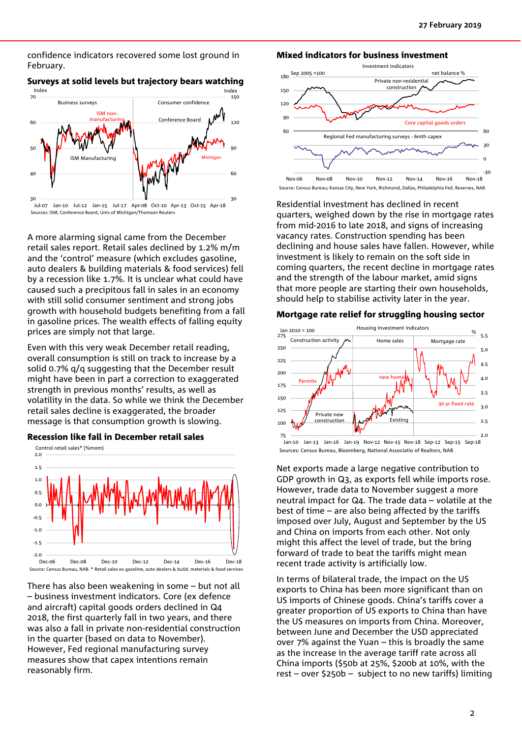confidence indicators recovered some lost ground in February.



Sources: ISM, Conference Board, Univ.of Michigan/Thomson Reuters

Surveys at solid levels but trajectory bears watching

A more alarming signal came from the December retail sales report. Retail sales declined by 1.2% m/m and the 'control' measure (which excludes gasoline, auto dealers & building materials & food services) fell by a recession like 1.7%. It is unclear what could have caused such a precipitous fall in sales in an economy with still solid consumer sentiment and strong jobs growth with household budgets benefiting from a fall in gasoline prices. The wealth effects of falling equity prices are simply not that large.

Even with this very weak December retail reading, overall consumption is still on track to increase by a solid 0.7% q/q suggesting that the December result might have been in part a correction to exaggerated strength in previous months' results, as well as volatility in the data. So while we think the December retail sales decline is exaggerated, the broader message is that consumption growth is slowing.

Recession like fall in December retail sales Control retail sales\* (%mom)



There has also been weakening in some – but not all – business investment indicators. Core (ex defence and aircraft) capital goods orders declined in Q4 2018, the first quarterly fall in two years, and there was also a fall in private non-residential construction in the quarter (based on data to November). However, Fed regional manufacturing survey measures show that capex intentions remain reasonably firm.





Source: Census Bureau; Kansas City, New York, Richmond, Dallas, Philadelphia Fed. Reserves, NAB

Residential investment has declined in recent quarters, weighed down by the rise in mortgage rates from mid-2016 to late 2018, and signs of increasing vacancy rates. Construction spending has been declining and house sales have fallen. However, while investment is likely to remain on the soft side in coming quarters, the recent decline in mortgage rates and the strength of the labour market, amid signs that more people are starting their own households, should help to stabilise activity later in the year.

### Mortgage rate relief for struggling housing sector



Jan-10 Jan-13 Jan-16 Jan-19 Nov-12 Nov-15 Nov-18 Sep-12 Sep-15 Sep-18 Sources: Census Bureau, Bloomberg, National Associatio of Realtors, NAB

Net exports made a large negative contribution to GDP growth in Q3, as exports fell while imports rose. However, trade data to November suggest a more neutral impact for Q4. The trade data – volatile at the best of time – are also being affected by the tariffs imposed over July, August and September by the US and China on imports from each other. Not only might this affect the level of trade, but the bring forward of trade to beat the tariffs might mean recent trade activity is artificially low.

In terms of bilateral trade, the impact on the US exports to China has been more significant than on US imports of Chinese goods. China's tariffs cover a greater proportion of US exports to China than have the US measures on imports from China. Moreover, between June and December the USD appreciated over 7% against the Yuan – this is broadly the same as the increase in the average tariff rate across all China imports (\$50b at 25%, \$200b at 10%, with the rest – over \$250b – subject to no new tariffs) limiting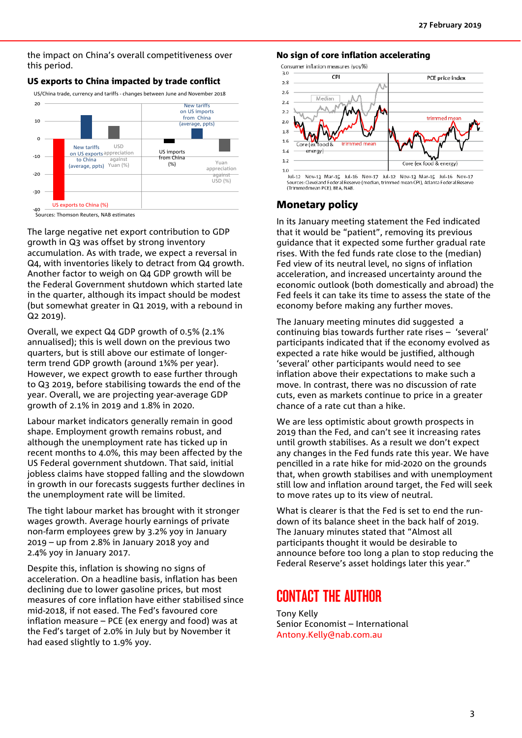the impact on China's overall competitiveness over this period.





-40 Sources: Thomson Reuters, NAB estimates

The large negative net export contribution to GDP growth in Q3 was offset by strong inventory accumulation. As with trade, we expect a reversal in Q4, with inventories likely to detract from Q4 growth. Another factor to weigh on Q4 GDP growth will be the Federal Government shutdown which started late in the quarter, although its impact should be modest (but somewhat greater in Q1 2019, with a rebound in Q2 2019).

Overall, we expect Q4 GDP growth of 0.5% (2.1% annualised); this is well down on the previous two quarters, but is still above our estimate of longerterm trend GDP growth (around 1¾% per year). However, we expect growth to ease further through to Q3 2019, before stabilising towards the end of the year. Overall, we are projecting year-average GDP growth of 2.1% in 2019 and 1.8% in 2020.

Labour market indicators generally remain in good shape. Employment growth remains robust, and although the unemployment rate has ticked up in recent months to 4.0%, this may been affected by the US Federal government shutdown. That said, initial jobless claims have stopped falling and the slowdown in growth in our forecasts suggests further declines in the unemployment rate will be limited.

The tight labour market has brought with it stronger wages growth. Average hourly earnings of private non-farm employees grew by 3.2% yoy in January 2019 – up from 2.8% in January 2018 yoy and 2.4% yoy in January 2017.

Despite this, inflation is showing no signs of acceleration. On a headline basis, inflation has been declining due to lower gasoline prices, but most measures of core inflation have either stabilised since mid-2018, if not eased. The Fed's favoured core inflation measure – PCE (ex energy and food) was at the Fed's target of 2.0% in July but by November it had eased slightly to 1.9% yoy.

#### No sign of core inflation accelerating

Consumer inflation measures (yoy%)



Jul-12 Nov-13 Mar-15 Jul-16 Nov-17 Jul-12 Nov-13 Mar-15 Jul-16 Nov-17 Sources: Cleveland Federal Reserve (median, trimmed mean CPI), Atlanta Federal Reserve (Trimmed mean PCE), BEA, NAB

### Monetary policy

In its January meeting statement the Fed indicated that it would be "patient", removing its previous guidance that it expected some further gradual rate rises. With the fed funds rate close to the (median) Fed view of its neutral level, no signs of inflation acceleration, and increased uncertainty around the economic outlook (both domestically and abroad) the Fed feels it can take its time to assess the state of the economy before making any further moves.

The January meeting minutes did suggested a continuing bias towards further rate rises – 'several' participants indicated that if the economy evolved as expected a rate hike would be justified, although 'several' other participants would need to see inflation above their expectations to make such a move. In contrast, there was no discussion of rate cuts, even as markets continue to price in a greater chance of a rate cut than a hike.

We are less optimistic about growth prospects in 2019 than the Fed, and can't see it increasing rates until growth stabilises. As a result we don't expect any changes in the Fed funds rate this year. We have pencilled in a rate hike for mid-2020 on the grounds that, when growth stabilises and with unemployment still low and inflation around target, the Fed will seek to move rates up to its view of neutral.

What is clearer is that the Fed is set to end the rundown of its balance sheet in the back half of 2019. The January minutes stated that "Almost all participants thought it would be desirable to announce before too long a plan to stop reducing the Federal Reserve's asset holdings later this year."

### CONTACT THE AUTHOR

Tony Kelly Senior Economist – International [Antony.Kelly@nab.com.au](mailto:Antony.Kelly@nab.com.au)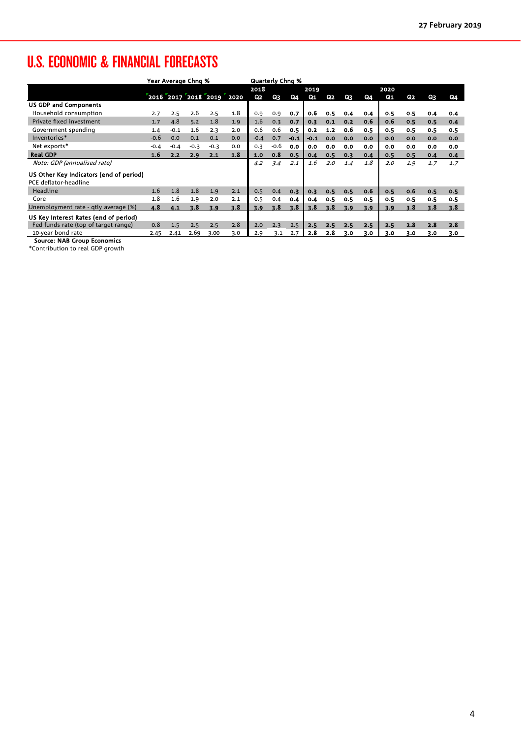## U.S. ECONOMIC & FINANCIAL FORECASTS

|                                         | Year Average Chng % |        |        |                          |     | <b>Quarterly Chng %</b> |        |        |        |                |     |     |     |     |     |     |
|-----------------------------------------|---------------------|--------|--------|--------------------------|-----|-------------------------|--------|--------|--------|----------------|-----|-----|-----|-----|-----|-----|
|                                         |                     |        |        |                          |     | 2018<br>2019            |        |        | 2020   |                |     |     |     |     |     |     |
|                                         |                     |        |        | 2016 2017 2018 2019 2020 |     | Q <sub>2</sub>          | Q3     | Q4     | Q1     | Q <sub>2</sub> | Q3  | Q4  | Q1  | Q2  | Q3  | Q4  |
| <b>US GDP and Components</b>            |                     |        |        |                          |     |                         |        |        |        |                |     |     |     |     |     |     |
| Household consumption                   | 2.7                 | 2.5    | 2.6    | 2.5                      | 1.8 | 0.9                     | 0.9    | 0.7    | 0.6    | 0.5            | 0.4 | 0.4 | 0.5 | 0.5 | 0.4 | 0.4 |
| Private fixed investment                | 1.7                 | 4.8    | 5.2    | 1.8                      | 1.9 | 1.6                     | 0.3    | 0.7    | 0.3    | 0.1            | 0.2 | 0.6 | 0.6 | 0.5 | 0.5 | 0.4 |
| Government spending                     | 1.4                 | $-0.1$ | 1.6    | 2.3                      | 2.0 | 0.6                     | 0.6    | 0.5    | 0.2    | $1.2$          | 0.6 | 0.5 | 0.5 | 0.5 | 0.5 | 0.5 |
| Inventories*                            | $-0.6$              | 0.0    | 0.1    | 0.1                      | 0.0 | $-0.4$                  | 0.7    | $-0.1$ | $-0.1$ | 0.0            | 0.0 | 0.0 | 0.0 | 0.0 | 0.0 | 0.0 |
| Net exports*                            | $-0.4$              | $-0.4$ | $-0.3$ | $-0.3$                   | 0.0 | 0.3                     | $-0.6$ | 0.0    | 0.0    | 0.0            | 0.0 | 0.0 | 0.0 | 0.0 | 0.0 | 0.0 |
| <b>Real GDP</b>                         | 1.6                 | 2.2    | 2.9    | 2.1                      | 1.8 | 1.0                     | 0.8    | 0.5    | 0.4    | 0.5            | 0.3 | 0.4 | 0.5 | 0.5 | 0.4 | 0.4 |
| Note: GDP (annualised rate)             |                     |        |        |                          |     | 4.2                     | 3.4    | 2.1    | 1.6    | 2.0            | 1.4 | 1.8 | 2.0 | 1.9 | 1.7 | 1.7 |
| US Other Key Indicators (end of period) |                     |        |        |                          |     |                         |        |        |        |                |     |     |     |     |     |     |
| PCE deflator-headline                   |                     |        |        |                          |     |                         |        |        |        |                |     |     |     |     |     |     |
| Headline                                | 1.6                 | 1.8    | 1.8    | 1.9                      | 2.1 | 0.5                     | 0.4    | 0.3    | 0.3    | 0.5            | 0.5 | 0.6 | 0.5 | 0.6 | 0.5 | 0.5 |
| Core                                    | 1.8                 | 1.6    | 1.9    | 2.0                      | 2.1 | 0.5                     | 0.4    | 0.4    | 0.4    | 0.5            | 0.5 | 0.5 | 0.5 | 0.5 | 0.5 | 0.5 |
| Unemployment rate - qtly average (%)    | 4.8                 | 4.1    | 3.8    | 3.9                      | 3.8 | 3.9                     | 3.8    | 3.8    | 3.8    | 3.8            | 3.9 | 3.9 | 3.9 | 3.8 | 3.8 | 3.8 |
| US Key Interest Rates (end of period)   |                     |        |        |                          |     |                         |        |        |        |                |     |     |     |     |     |     |
| Fed funds rate (top of target range)    | 0.8                 | 1.5    | 2.5    | 2.5                      | 2.8 | 2.0                     | 2.3    | 2.5    | 2.5    | 2.5            | 2.5 | 2.5 | 2.5 | 2.8 | 2.8 | 2.8 |
| 10-year bond rate                       | 2.45                | 2.41   | 2.69   | 3.00                     | 3.0 | 2.9                     | 3.1    | 2.7    | 2.8    | 2.8            | 3.0 | 3.0 | 3.0 | 3.0 | 3.0 | 3.0 |
| <b>Source: NAB Group Economics</b>      |                     |        |        |                          |     |                         |        |        |        |                |     |     |     |     |     |     |

\*Contribution to real GDP growth